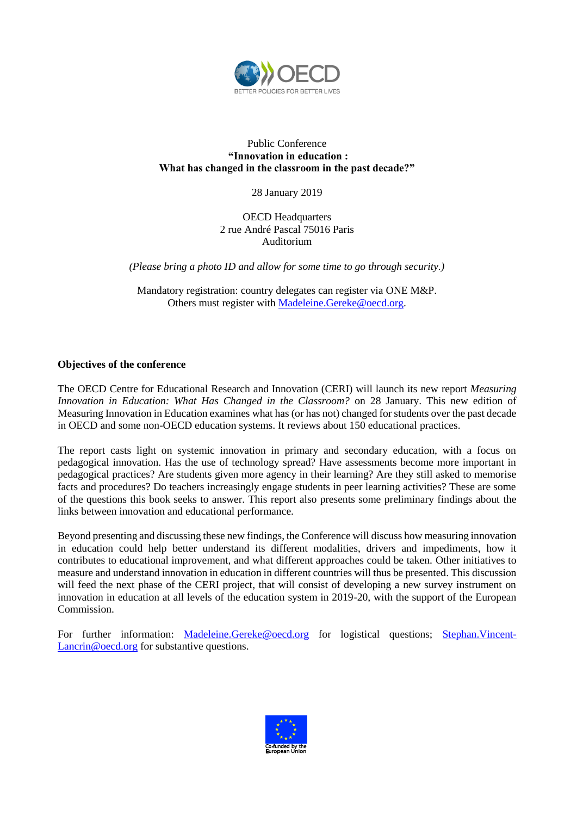

## Public Conference **"Innovation in education : What has changed in the classroom in the past decade?"**

28 January 2019

OECD Headquarters 2 rue André Pascal 75016 Paris Auditorium

*(Please bring a photo ID and allow for some time to go through security.)*

Mandatory registration: country delegates can register via ONE M&P. Others must register with [Madeleine.Gereke@oecd.org.](mailto:Madeleine.Gereke@oecd.org)

## **Objectives of the conference**

The OECD Centre for Educational Research and Innovation (CERI) will launch its new report *Measuring Innovation in Education: What Has Changed in the Classroom?* on 28 January. This new edition of Measuring Innovation in Education examines what has (or has not) changed for students over the past decade in OECD and some non-OECD education systems. It reviews about 150 educational practices.

The report casts light on systemic innovation in primary and secondary education, with a focus on pedagogical innovation. Has the use of technology spread? Have assessments become more important in pedagogical practices? Are students given more agency in their learning? Are they still asked to memorise facts and procedures? Do teachers increasingly engage students in peer learning activities? These are some of the questions this book seeks to answer. This report also presents some preliminary findings about the links between innovation and educational performance.

Beyond presenting and discussing these new findings, the Conference will discuss how measuring innovation in education could help better understand its different modalities, drivers and impediments, how it contributes to educational improvement, and what different approaches could be taken. Other initiatives to measure and understand innovation in education in different countries will thus be presented. This discussion will feed the next phase of the CERI project, that will consist of developing a new survey instrument on innovation in education at all levels of the education system in 2019-20, with the support of the European Commission.

For further information: [Madeleine.Gereke@oecd.org](mailto:Madeleine.Gereke@oecd.org) for logistical questions; [Stephan.Vincent-](mailto:Stephan.Vincent-Lancrin@oecd.org)[Lancrin@oecd.org](mailto:Stephan.Vincent-Lancrin@oecd.org) for substantive questions.